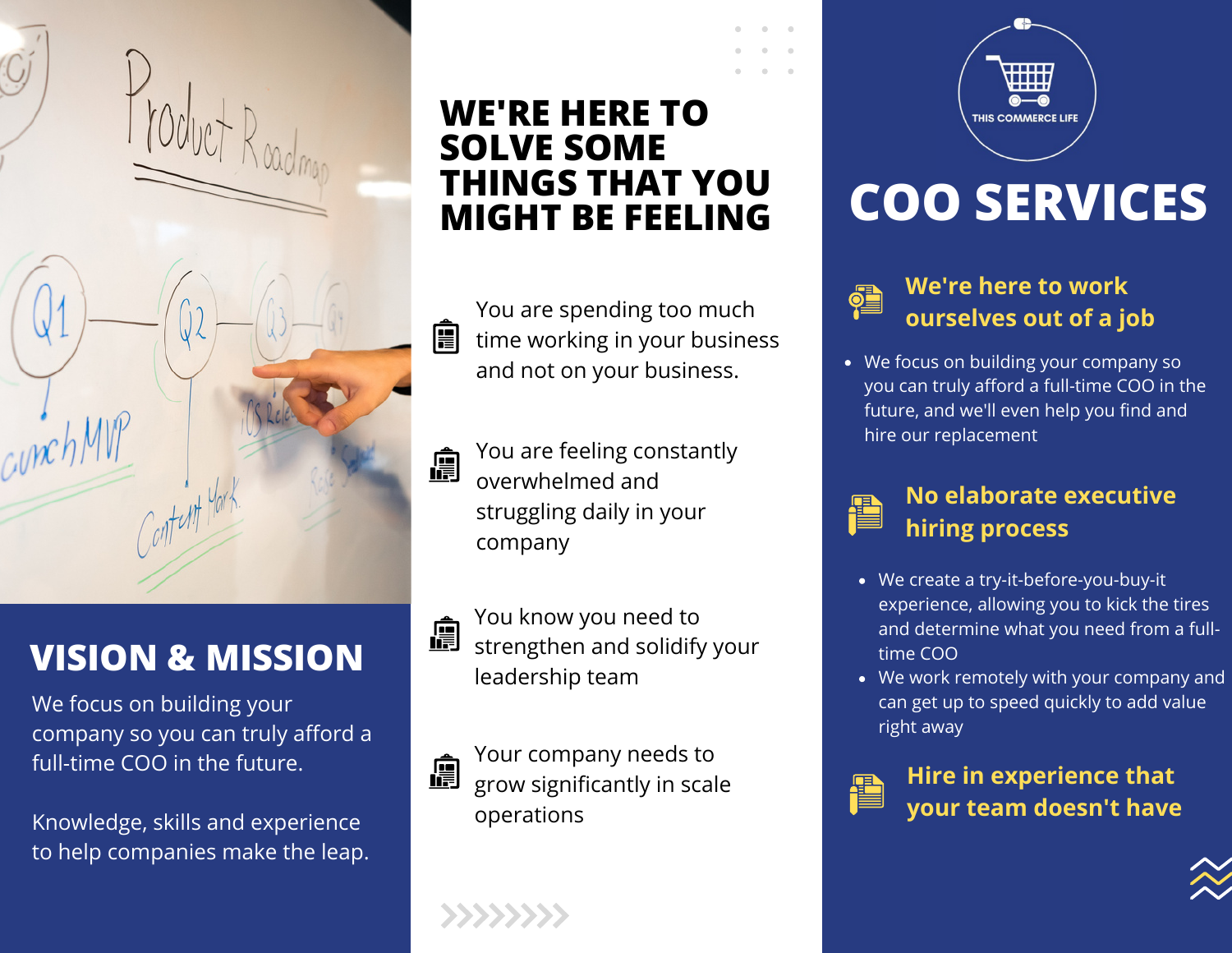## **WE'RE HERE TO SOLVE SOME THINGS THAT YOU MIGHT BE FEELING**

You are spending too much 阊 time working in your business and not on your business.

You are feeling constantly 阊 overwhelmed and struggling daily in your company

You know you need to strengthen and solidify your leadership team

Your company needs to 圎 grow significantly in scale operations

# **COO SERVICES**



#### **We're here to work ourselves out of a job**

THIS COMMERCE LIFE

We focus on building your company so you can truly afford a full-time COO in the future, and we'll even help you find and hire our replacement



- We create a try-it-before-you-buy-it experience, allowing you to kick the tires and determine what you need from a fulltime COO
- We work remotely with your company and can get up to speed quickly to add value right away



**Hire in experience that your team doesn't have**



**VISION & MISSION**

We focus on building your company so you can truly afford a full-time COO in the future.

Knowledge, skills and experience to help companies make the leap.